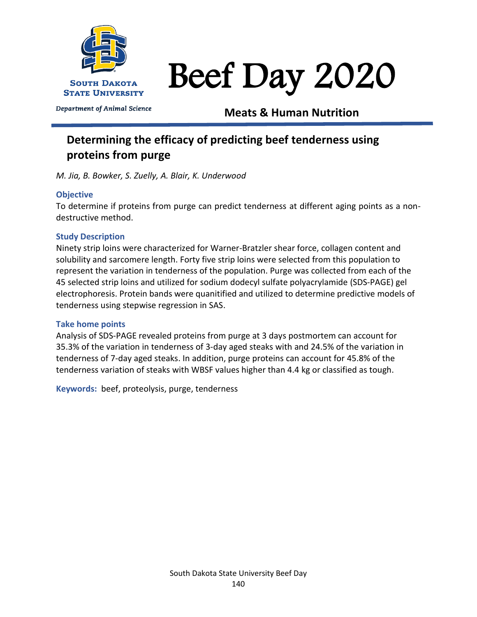

Department of Animal Science

Beef Day 2020

**Meats & Human Nutrition**

# **Determining the efficacy of predicting beef tenderness using proteins from purge**

*M. Jia, B. Bowker, S. Zuelly, A. Blair, K. Underwood*

# **Objective**

To determine if proteins from purge can predict tenderness at different aging points as a nondestructive method.

# **Study Description**

Ninety strip loins were characterized for Warner-Bratzler shear force, collagen content and solubility and sarcomere length. Forty five strip loins were selected from this population to represent the variation in tenderness of the population. Purge was collected from each of the 45 selected strip loins and utilized for sodium dodecyl sulfate polyacrylamide (SDS-PAGE) gel electrophoresis. Protein bands were quanitified and utilized to determine predictive models of tenderness using stepwise regression in SAS.

## **Take home points**

Analysis of SDS-PAGE revealed proteins from purge at 3 days postmortem can account for 35.3% of the variation in tenderness of 3-day aged steaks with and 24.5% of the variation in tenderness of 7-day aged steaks. In addition, purge proteins can account for 45.8% of the tenderness variation of steaks with WBSF values higher than 4.4 kg or classified as tough.

**Keywords:** beef, proteolysis, purge, tenderness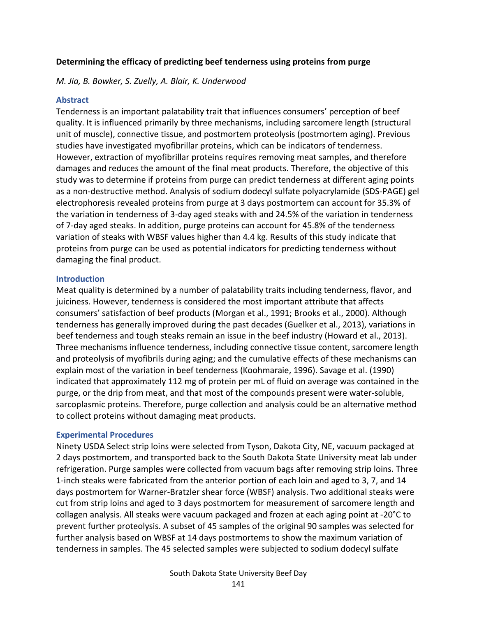#### **Determining the efficacy of predicting beef tenderness using proteins from purge**

*M. Jia, B. Bowker, S. Zuelly, A. Blair, K. Underwood*

### **Abstract**

Tenderness is an important palatability trait that influences consumers' perception of beef quality. It is influenced primarily by three mechanisms, including sarcomere length (structural unit of muscle), connective tissue, and postmortem proteolysis (postmortem aging). Previous studies have investigated myofibrillar proteins, which can be indicators of tenderness. However, extraction of myofibrillar proteins requires removing meat samples, and therefore damages and reduces the amount of the final meat products. Therefore, the objective of this study was to determine if proteins from purge can predict tenderness at different aging points as a non-destructive method. Analysis of sodium dodecyl sulfate polyacrylamide (SDS-PAGE) gel electrophoresis revealed proteins from purge at 3 days postmortem can account for 35.3% of the variation in tenderness of 3-day aged steaks with and 24.5% of the variation in tenderness of 7-day aged steaks. In addition, purge proteins can account for 45.8% of the tenderness variation of steaks with WBSF values higher than 4.4 kg. Results of this study indicate that proteins from purge can be used as potential indicators for predicting tenderness without damaging the final product.

#### **Introduction**

Meat quality is determined by a number of palatability traits including tenderness, flavor, and juiciness. However, tenderness is considered the most important attribute that affects consumers' satisfaction of beef products (Morgan et al., 1991; Brooks et al., 2000). Although tenderness has generally improved during the past decades (Guelker et al., 2013), variations in beef tenderness and tough steaks remain an issue in the beef industry (Howard et al., 2013). Three mechanisms influence tenderness, including connective tissue content, sarcomere length and proteolysis of myofibrils during aging; and the cumulative effects of these mechanisms can explain most of the variation in beef tenderness (Koohmaraie, 1996). Savage et al. (1990) indicated that approximately 112 mg of protein per mL of fluid on average was contained in the purge, or the drip from meat, and that most of the compounds present were water-soluble, sarcoplasmic proteins. Therefore, purge collection and analysis could be an alternative method to collect proteins without damaging meat products.

#### **Experimental Procedures**

Ninety USDA Select strip loins were selected from Tyson, Dakota City, NE, vacuum packaged at 2 days postmortem, and transported back to the South Dakota State University meat lab under refrigeration. Purge samples were collected from vacuum bags after removing strip loins. Three 1-inch steaks were fabricated from the anterior portion of each loin and aged to 3, 7, and 14 days postmortem for Warner-Bratzler shear force (WBSF) analysis. Two additional steaks were cut from strip loins and aged to 3 days postmortem for measurement of sarcomere length and collagen analysis. All steaks were vacuum packaged and frozen at each aging point at -20°C to prevent further proteolysis. A subset of 45 samples of the original 90 samples was selected for further analysis based on WBSF at 14 days postmortems to show the maximum variation of tenderness in samples. The 45 selected samples were subjected to sodium dodecyl sulfate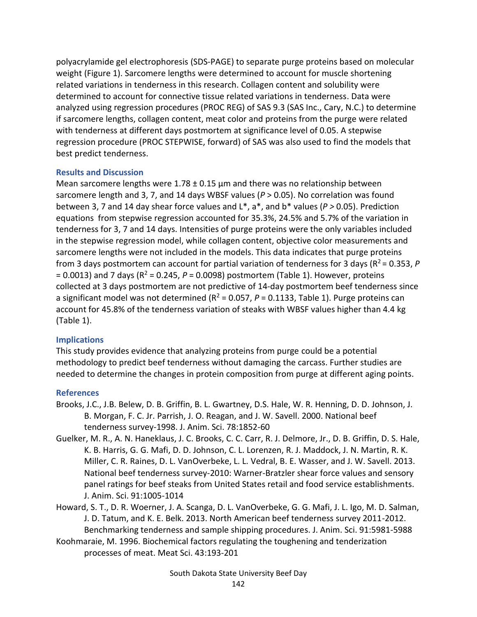polyacrylamide gel electrophoresis (SDS-PAGE) to separate purge proteins based on molecular weight (Figure 1). Sarcomere lengths were determined to account for muscle shortening related variations in tenderness in this research. Collagen content and solubility were determined to account for connective tissue related variations in tenderness. Data were analyzed using regression procedures (PROC REG) of SAS 9.3 (SAS Inc., Cary, N.C.) to determine if sarcomere lengths, collagen content, meat color and proteins from the purge were related with tenderness at different days postmortem at significance level of 0.05. A stepwise regression procedure (PROC STEPWISE, forward) of SAS was also used to find the models that best predict tenderness.

## **Results and Discussion**

Mean sarcomere lengths were  $1.78 \pm 0.15$  µm and there was no relationship between sarcomere length and 3, 7, and 14 days WBSF values (*P* > 0.05). No correlation was found between 3, 7 and 14 day shear force values and L\*, a\*, and b\* values (*P >* 0.05). Prediction equations from stepwise regression accounted for 35.3%, 24.5% and 5.7% of the variation in tenderness for 3, 7 and 14 days. Intensities of purge proteins were the only variables included in the stepwise regression model, while collagen content, objective color measurements and sarcomere lengths were not included in the models. This data indicates that purge proteins from 3 days postmortem can account for partial variation of tenderness for 3 days ( $R^2$  = 0.353, *P*  $= 0.0013$ ) and 7 days ( $R^2 = 0.245$ ,  $P = 0.0098$ ) postmortem (Table 1). However, proteins collected at 3 days postmortem are not predictive of 14-day postmortem beef tenderness since a significant model was not determined ( $R^2$  = 0.057,  $P$  = 0.1133, Table 1). Purge proteins can account for 45.8% of the tenderness variation of steaks with WBSF values higher than 4.4 kg (Table 1).

## **Implications**

This study provides evidence that analyzing proteins from purge could be a potential methodology to predict beef tenderness without damaging the carcass. Further studies are needed to determine the changes in protein composition from purge at different aging points.

## **References**

- Brooks, J.C., J.B. Belew, D. B. Griffin, B. L. Gwartney, D.S. Hale, W. R. Henning, D. D. Johnson, J. B. Morgan, F. C. Jr. Parrish, J. O. Reagan, and J. W. Savell. 2000. National beef tenderness survey-1998. J. Anim. Sci. 78:1852-60
- Guelker, M. R., A. N. Haneklaus, J. C. Brooks, C. C. Carr, R. J. Delmore, Jr., D. B. Griffin, D. S. Hale, K. B. Harris, G. G. Mafi, D. D. Johnson, C. L. Lorenzen, R. J. Maddock, J. N. Martin, R. K. Miller, C. R. Raines, D. L. VanOverbeke, L. L. Vedral, B. E. Wasser, and J. W. Savell. 2013. National beef tenderness survey-2010: Warner-Bratzler shear force values and sensory panel ratings for beef steaks from United States retail and food service establishments. J. Anim. Sci. 91:1005-1014
- Howard, S. T., D. R. Woerner, J. A. Scanga, D. L. VanOverbeke, G. G. Mafi, J. L. Igo, M. D. Salman, J. D. Tatum, and K. E. Belk. 2013. North American beef tenderness survey 2011-2012. Benchmarking tenderness and sample shipping procedures. J. Anim. Sci. 91:5981-5988
- Koohmaraie, M. 1996. Biochemical factors regulating the toughening and tenderization processes of meat. Meat Sci. 43:193-201